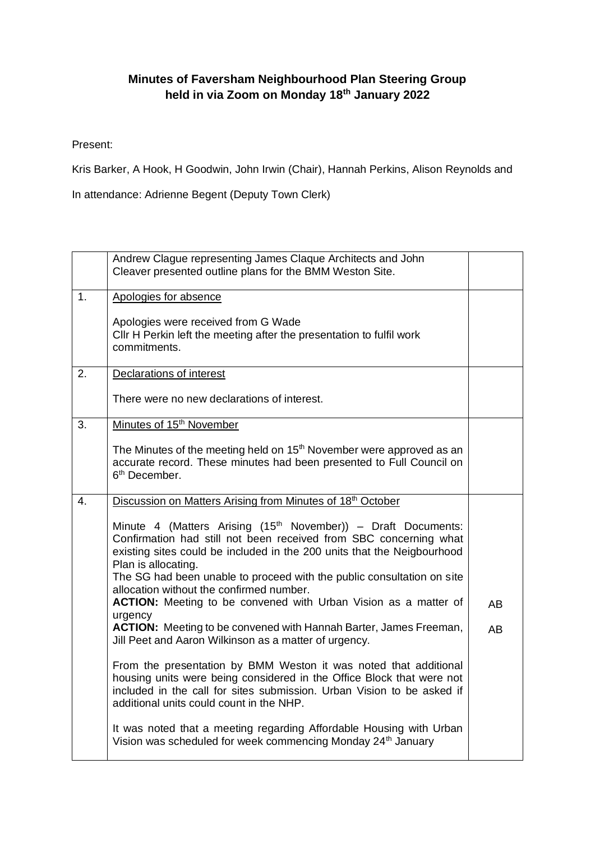## **Minutes of Faversham Neighbourhood Plan Steering Group held in via Zoom on Monday 18th January 2022**

Present:

Kris Barker, A Hook, H Goodwin, John Irwin (Chair), Hannah Perkins, Alison Reynolds and

In attendance: Adrienne Begent (Deputy Town Clerk)

|    | Andrew Clague representing James Claque Architects and John<br>Cleaver presented outline plans for the BMM Weston Site.                                                                                                                                                                                                                                                |           |
|----|------------------------------------------------------------------------------------------------------------------------------------------------------------------------------------------------------------------------------------------------------------------------------------------------------------------------------------------------------------------------|-----------|
| 1. | Apologies for absence<br>Apologies were received from G Wade<br>CIIr H Perkin left the meeting after the presentation to fulfil work                                                                                                                                                                                                                                   |           |
| 2. | commitments.<br><b>Declarations of interest</b>                                                                                                                                                                                                                                                                                                                        |           |
|    | There were no new declarations of interest.                                                                                                                                                                                                                                                                                                                            |           |
| 3. | Minutes of 15 <sup>th</sup> November                                                                                                                                                                                                                                                                                                                                   |           |
|    | The Minutes of the meeting held on 15 <sup>th</sup> November were approved as an<br>accurate record. These minutes had been presented to Full Council on<br>6 <sup>th</sup> December.                                                                                                                                                                                  |           |
| 4. | Discussion on Matters Arising from Minutes of 18th October                                                                                                                                                                                                                                                                                                             |           |
|    | Minute 4 (Matters Arising (15 <sup>th</sup> November)) - Draft Documents:<br>Confirmation had still not been received from SBC concerning what<br>existing sites could be included in the 200 units that the Neigbourhood<br>Plan is allocating.<br>The SG had been unable to proceed with the public consultation on site<br>allocation without the confirmed number. |           |
|    | ACTION: Meeting to be convened with Urban Vision as a matter of<br>urgency                                                                                                                                                                                                                                                                                             | <b>AB</b> |
|    | ACTION: Meeting to be convened with Hannah Barter, James Freeman,<br>Jill Peet and Aaron Wilkinson as a matter of urgency.                                                                                                                                                                                                                                             | <b>AB</b> |
|    | From the presentation by BMM Weston it was noted that additional<br>housing units were being considered in the Office Block that were not<br>included in the call for sites submission. Urban Vision to be asked if<br>additional units could count in the NHP.                                                                                                        |           |
|    | It was noted that a meeting regarding Affordable Housing with Urban<br>Vision was scheduled for week commencing Monday 24 <sup>th</sup> January                                                                                                                                                                                                                        |           |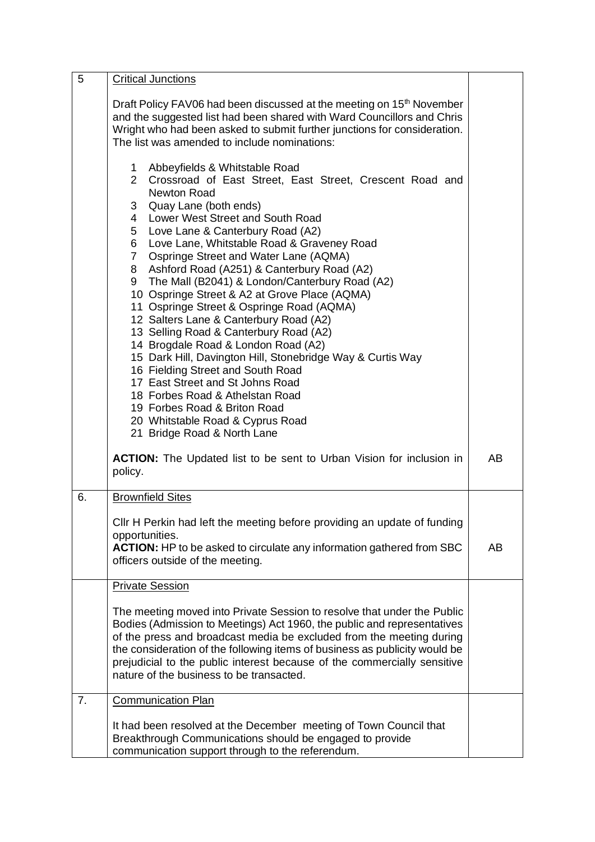| 5  | <b>Critical Junctions</b>                                                                                                                                                                                                                                                                                                                                                                                                                                                                                                                                                                                                                                                                                                                                                                                                                                                                                                                         |    |
|----|---------------------------------------------------------------------------------------------------------------------------------------------------------------------------------------------------------------------------------------------------------------------------------------------------------------------------------------------------------------------------------------------------------------------------------------------------------------------------------------------------------------------------------------------------------------------------------------------------------------------------------------------------------------------------------------------------------------------------------------------------------------------------------------------------------------------------------------------------------------------------------------------------------------------------------------------------|----|
|    | Draft Policy FAV06 had been discussed at the meeting on 15 <sup>th</sup> November<br>and the suggested list had been shared with Ward Councillors and Chris<br>Wright who had been asked to submit further junctions for consideration.<br>The list was amended to include nominations:                                                                                                                                                                                                                                                                                                                                                                                                                                                                                                                                                                                                                                                           |    |
|    | Abbeyfields & Whitstable Road<br>1<br>2 Crossroad of East Street, East Street, Crescent Road and<br>Newton Road<br>Quay Lane (both ends)<br>3 <sup>1</sup><br>4 Lower West Street and South Road<br>Love Lane & Canterbury Road (A2)<br>5<br>Love Lane, Whitstable Road & Graveney Road<br>6<br>7 Ospringe Street and Water Lane (AQMA)<br>8 Ashford Road (A251) & Canterbury Road (A2)<br>9 The Mall (B2041) & London/Canterbury Road (A2)<br>10 Ospringe Street & A2 at Grove Place (AQMA)<br>11 Ospringe Street & Ospringe Road (AQMA)<br>12 Salters Lane & Canterbury Road (A2)<br>13 Selling Road & Canterbury Road (A2)<br>14 Brogdale Road & London Road (A2)<br>15 Dark Hill, Davington Hill, Stonebridge Way & Curtis Way<br>16 Fielding Street and South Road<br>17 East Street and St Johns Road<br>18 Forbes Road & Athelstan Road<br>19 Forbes Road & Briton Road<br>20 Whitstable Road & Cyprus Road<br>21 Bridge Road & North Lane |    |
|    | <b>ACTION:</b> The Updated list to be sent to Urban Vision for inclusion in<br>policy.                                                                                                                                                                                                                                                                                                                                                                                                                                                                                                                                                                                                                                                                                                                                                                                                                                                            | AB |
| 6. | <b>Brownfield Sites</b>                                                                                                                                                                                                                                                                                                                                                                                                                                                                                                                                                                                                                                                                                                                                                                                                                                                                                                                           |    |
|    | CIIr H Perkin had left the meeting before providing an update of funding                                                                                                                                                                                                                                                                                                                                                                                                                                                                                                                                                                                                                                                                                                                                                                                                                                                                          |    |
|    | opportunities.<br><b>ACTION:</b> HP to be asked to circulate any information gathered from SBC<br>officers outside of the meeting.                                                                                                                                                                                                                                                                                                                                                                                                                                                                                                                                                                                                                                                                                                                                                                                                                | AB |
|    | <b>Private Session</b>                                                                                                                                                                                                                                                                                                                                                                                                                                                                                                                                                                                                                                                                                                                                                                                                                                                                                                                            |    |
|    | The meeting moved into Private Session to resolve that under the Public<br>Bodies (Admission to Meetings) Act 1960, the public and representatives<br>of the press and broadcast media be excluded from the meeting during<br>the consideration of the following items of business as publicity would be<br>prejudicial to the public interest because of the commercially sensitive<br>nature of the business to be transacted.                                                                                                                                                                                                                                                                                                                                                                                                                                                                                                                  |    |
| 7. | <b>Communication Plan</b>                                                                                                                                                                                                                                                                                                                                                                                                                                                                                                                                                                                                                                                                                                                                                                                                                                                                                                                         |    |
|    | It had been resolved at the December meeting of Town Council that<br>Breakthrough Communications should be engaged to provide<br>communication support through to the referendum.                                                                                                                                                                                                                                                                                                                                                                                                                                                                                                                                                                                                                                                                                                                                                                 |    |